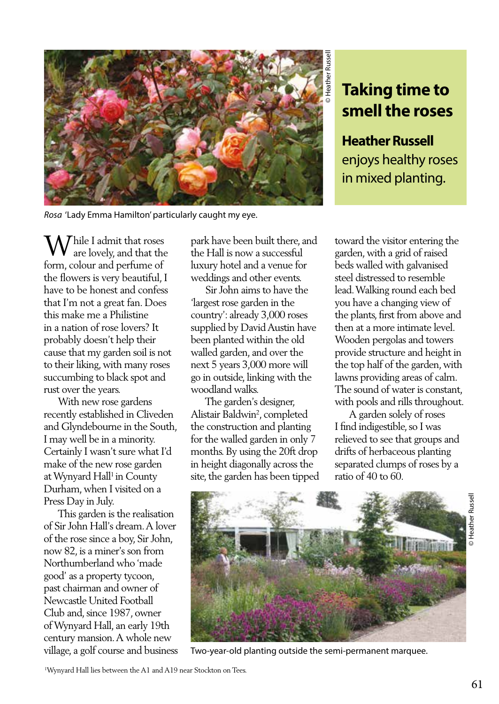

*Rosa* 'Lady Emma Hamilton' particularly caught my eye.

## **Taking time to smell the roses**

**Heather Russell**  enjoys healthy roses in mixed planting.

 $\Lambda$  Thile I admit that roses are lovely, and that the form, colour and perfume of the flowers is very beautiful, I have to be honest and confess that I'm not a great fan. Does this make me a Philistine in a nation of rose lovers? It probably doesn't help their cause that my garden soil is not to their liking, with many roses succumbing to black spot and rust over the years.

 With new rose gardens recently established in Cliveden and Glyndebourne in the South, I may well be in a minority. Certainly I wasn't sure what I'd make of the new rose garden at Wynyard Hall<sup>1</sup> in County Durham, when I visited on a Press Day in July.

 This garden is the realisation of Sir John Hall's dream. A lover of the rose since a boy, Sir John, now 82, is a miner's son from Northumberland who 'made good' as a property tycoon, past chairman and owner of Newcastle United Football Club and, since 1987, owner of Wynyard Hall, an early 19th century mansion. A whole new village, a golf course and business park have been built there, and the Hall is now a successful luxury hotel and a venue for weddings and other events.

 Sir John aims to have the 'largest rose garden in the country': already 3,000 roses supplied by David Austin have been planted within the old walled garden, and over the next 5 years 3,000 more will go in outside, linking with the woodland walks.

 The garden's designer, Alistair Baldwin2 , completed the construction and planting for the walled garden in only 7 months. By using the 20ft drop in height diagonally across the site, the garden has been tipped toward the visitor entering the garden, with a grid of raised beds walled with galvanised steel distressed to resemble lead. Walking round each bed you have a changing view of the plants, first from above and then at a more intimate level. Wooden pergolas and towers provide structure and height in the top half of the garden, with lawns providing areas of calm. The sound of water is constant, with pools and rills throughout.

 A garden solely of roses I find indigestible, so I was relieved to see that groups and drifts of herbaceous planting separated clumps of roses by a ratio of 40 to 60.



Two-year-old planting outside the semi-permanent marquee.